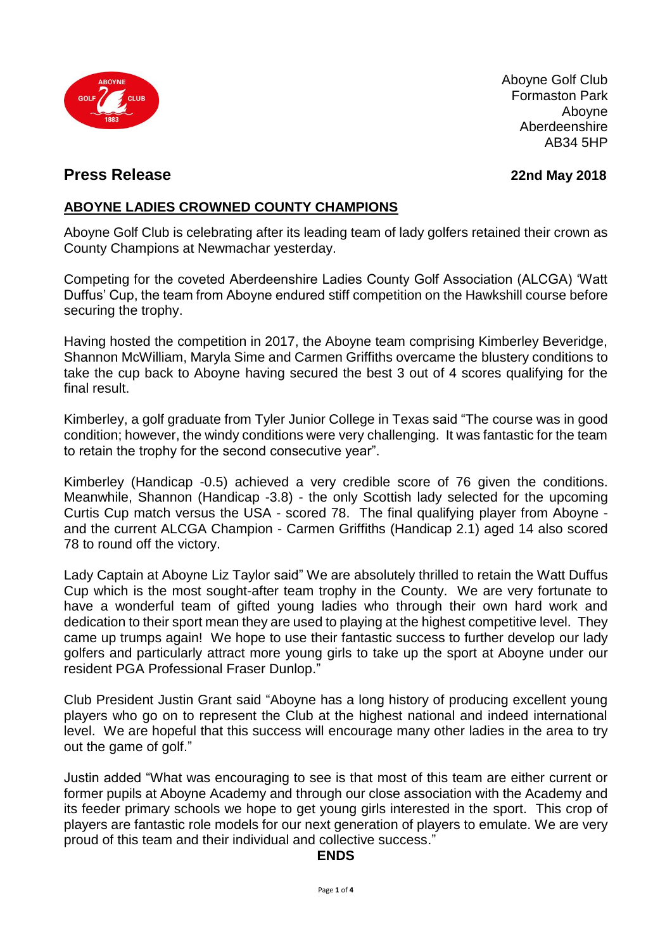

Aboyne Golf Club Formaston Park Aboyne Aberdeenshire AB34 5HP

### **Press Release 22nd May 2018**

# **ABOYNE LADIES CROWNED COUNTY CHAMPIONS**

Aboyne Golf Club is celebrating after its leading team of lady golfers retained their crown as County Champions at Newmachar yesterday.

Competing for the coveted Aberdeenshire Ladies County Golf Association (ALCGA) 'Watt Duffus' Cup, the team from Aboyne endured stiff competition on the Hawkshill course before securing the trophy.

Having hosted the competition in 2017, the Aboyne team comprising Kimberley Beveridge, Shannon McWilliam, Maryla Sime and Carmen Griffiths overcame the blustery conditions to take the cup back to Aboyne having secured the best 3 out of 4 scores qualifying for the final result.

Kimberley, a golf graduate from Tyler Junior College in Texas said "The course was in good condition; however, the windy conditions were very challenging. It was fantastic for the team to retain the trophy for the second consecutive year".

Kimberley (Handicap -0.5) achieved a very credible score of 76 given the conditions. Meanwhile, Shannon (Handicap -3.8) - the only Scottish lady selected for the upcoming Curtis Cup match versus the USA - scored 78. The final qualifying player from Aboyne and the current ALCGA Champion - Carmen Griffiths (Handicap 2.1) aged 14 also scored 78 to round off the victory.

Lady Captain at Aboyne Liz Taylor said" We are absolutely thrilled to retain the Watt Duffus Cup which is the most sought-after team trophy in the County. We are very fortunate to have a wonderful team of gifted young ladies who through their own hard work and dedication to their sport mean they are used to playing at the highest competitive level. They came up trumps again! We hope to use their fantastic success to further develop our lady golfers and particularly attract more young girls to take up the sport at Aboyne under our resident PGA Professional Fraser Dunlop."

Club President Justin Grant said "Aboyne has a long history of producing excellent young players who go on to represent the Club at the highest national and indeed international level. We are hopeful that this success will encourage many other ladies in the area to try out the game of golf."

Justin added "What was encouraging to see is that most of this team are either current or former pupils at Aboyne Academy and through our close association with the Academy and its feeder primary schools we hope to get young girls interested in the sport. This crop of players are fantastic role models for our next generation of players to emulate. We are very proud of this team and their individual and collective success."

#### **ENDS**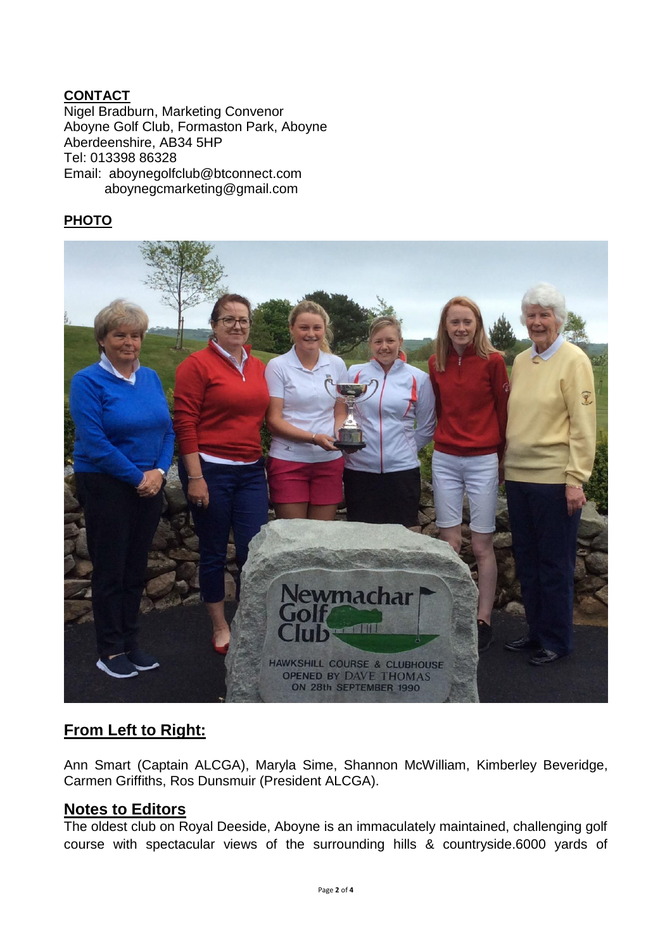### **CONTACT**

Nigel Bradburn, Marketing Convenor Aboyne Golf Club, Formaston Park, Aboyne Aberdeenshire, AB34 5HP Tel: 013398 86328 Email: aboynegolfclub@btconnect.com aboynegcmarketing@gmail.com

# **PHOTO**



# **From Left to Right:**

Ann Smart (Captain ALCGA), Maryla Sime, Shannon McWilliam, Kimberley Beveridge, Carmen Griffiths, Ros Dunsmuir (President ALCGA).

#### **Notes to Editors**

The oldest club on Royal Deeside, Aboyne is an immaculately maintained, challenging golf course with spectacular views of the surrounding hills & countryside.6000 yards of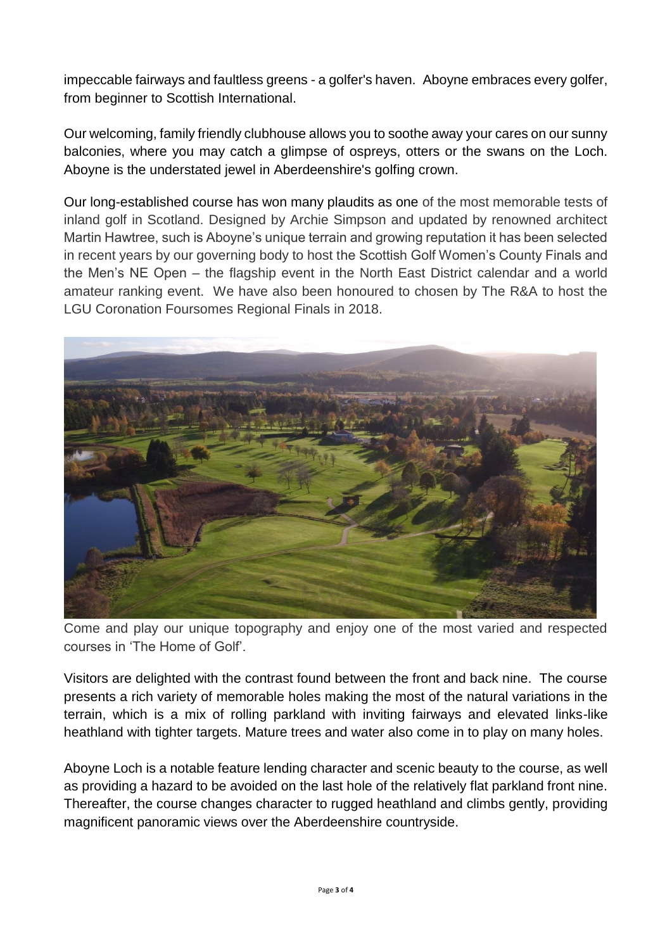impeccable fairways and faultless greens - a golfer's haven. Aboyne embraces every golfer, from beginner to Scottish International.

Our welcoming, family friendly clubhouse allows you to soothe away your cares on our sunny balconies, where you may catch a glimpse of ospreys, otters or the swans on the Loch. Aboyne is the understated jewel in Aberdeenshire's golfing crown.

Our long-established course has won many plaudits as one of the most memorable tests of inland golf in Scotland. Designed by Archie Simpson and updated by renowned architect Martin Hawtree, such is Aboyne's unique terrain and growing reputation it has been selected in recent years by our governing body to host the Scottish Golf Women's County Finals and the Men's NE Open – the flagship event in the North East District calendar and a world amateur ranking event. We have also been honoured to chosen by The R&A to host the LGU Coronation Foursomes Regional Finals in 2018.



Come and play our unique topography and enjoy one of the most varied and respected courses in 'The Home of Golf'.

Visitors are delighted with the contrast found between the front and back nine. The course presents a rich variety of memorable holes making the most of the natural variations in the terrain, which is a mix of rolling parkland with inviting fairways and elevated links-like heathland with tighter targets. Mature trees and water also come in to play on many holes.

Aboyne Loch is a notable feature lending character and scenic beauty to the course, as well as providing a hazard to be avoided on the last hole of the relatively flat parkland front nine. Thereafter, the course changes character to rugged heathland and climbs gently, providing magnificent panoramic views over the Aberdeenshire countryside.